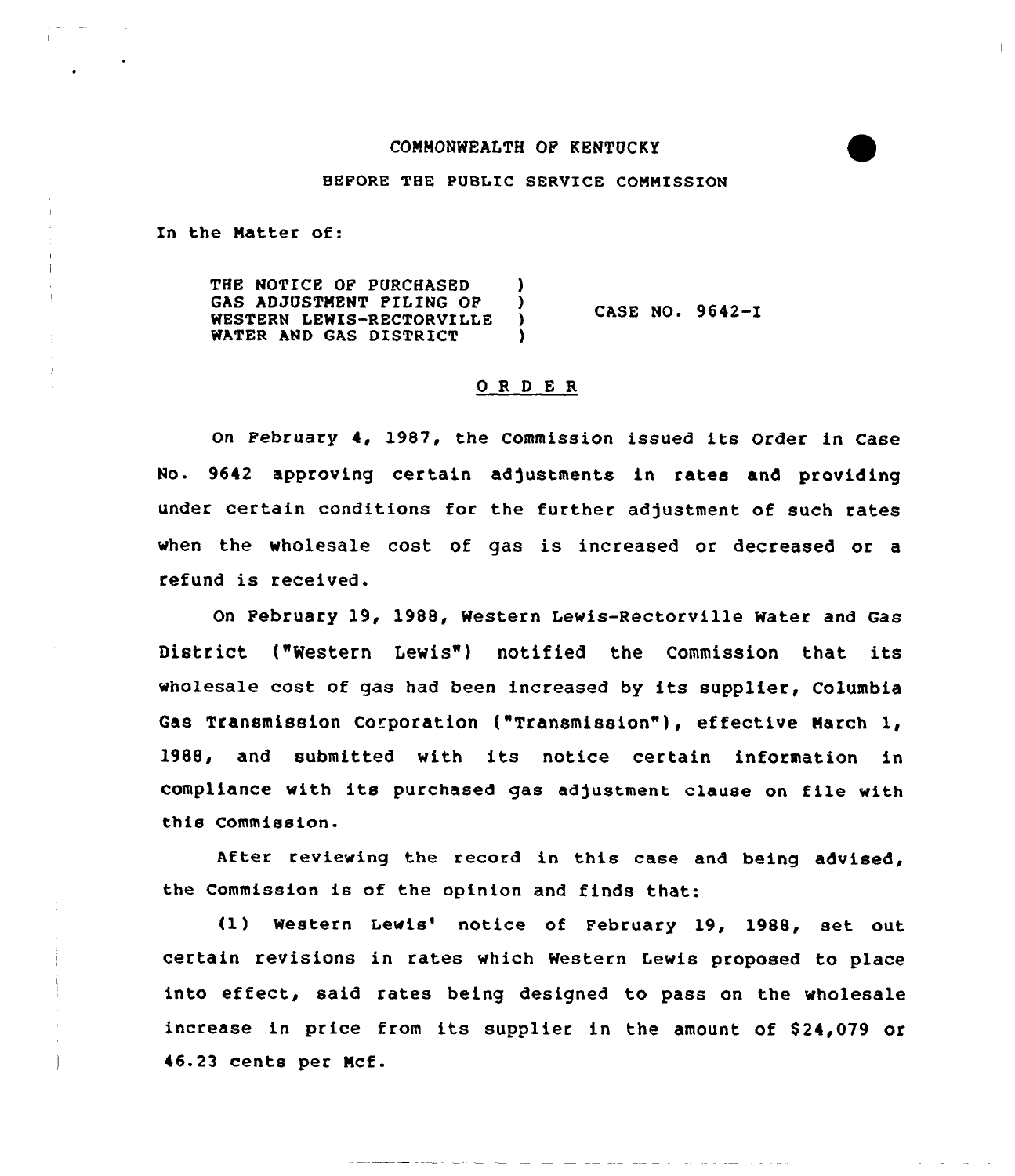### COMMONWEALTH OF KENTUCKY

### BEFORE THE PUBLIC SERVICE COMMISSION

In the Matter of:

THE NOTICE OF PURCHASED (3) GAS ADJUSTMENT FILING OF WESTERN LEWIS-RECTORVILLE )<br>WATER AND GAS DISTRICT ) WATER AND GAS DISTRICT CASE NO. 9642-I

## 0 R <sup>D</sup> E R

On February 4, 1987, the Commission issued its Order in Case No. 9642 approving certain adjustments in rates and providing under certain conditions for the further adjustment of such rates when the wholesale cost of gas is increased or decreased or <sup>a</sup> refund is received.

On February 19, 1988, Western Lewis-Rectorville Water and Gas District ("Western Lewis") notified the Commission that its wholesale cost of gas had been increased by its supplier, Columbia Gas Transmission Corporation ("Transmission"), effective March 1, 1988, and submitted with its notice certain information in compliance with its purchased gas adjustment clause on file with this Commission.

After reviewing the record in this case and being advised, the Commission is of the opinion and finds that:

(1) Western Lewis' notice of February 19, 1988, set out cettain revisions in rates which Western Lewis proposed to place into effect, said rates being designed to pass on the wholesale increase in price from its supplier in the amount of S24,079 or 46.23 cents per Mcf.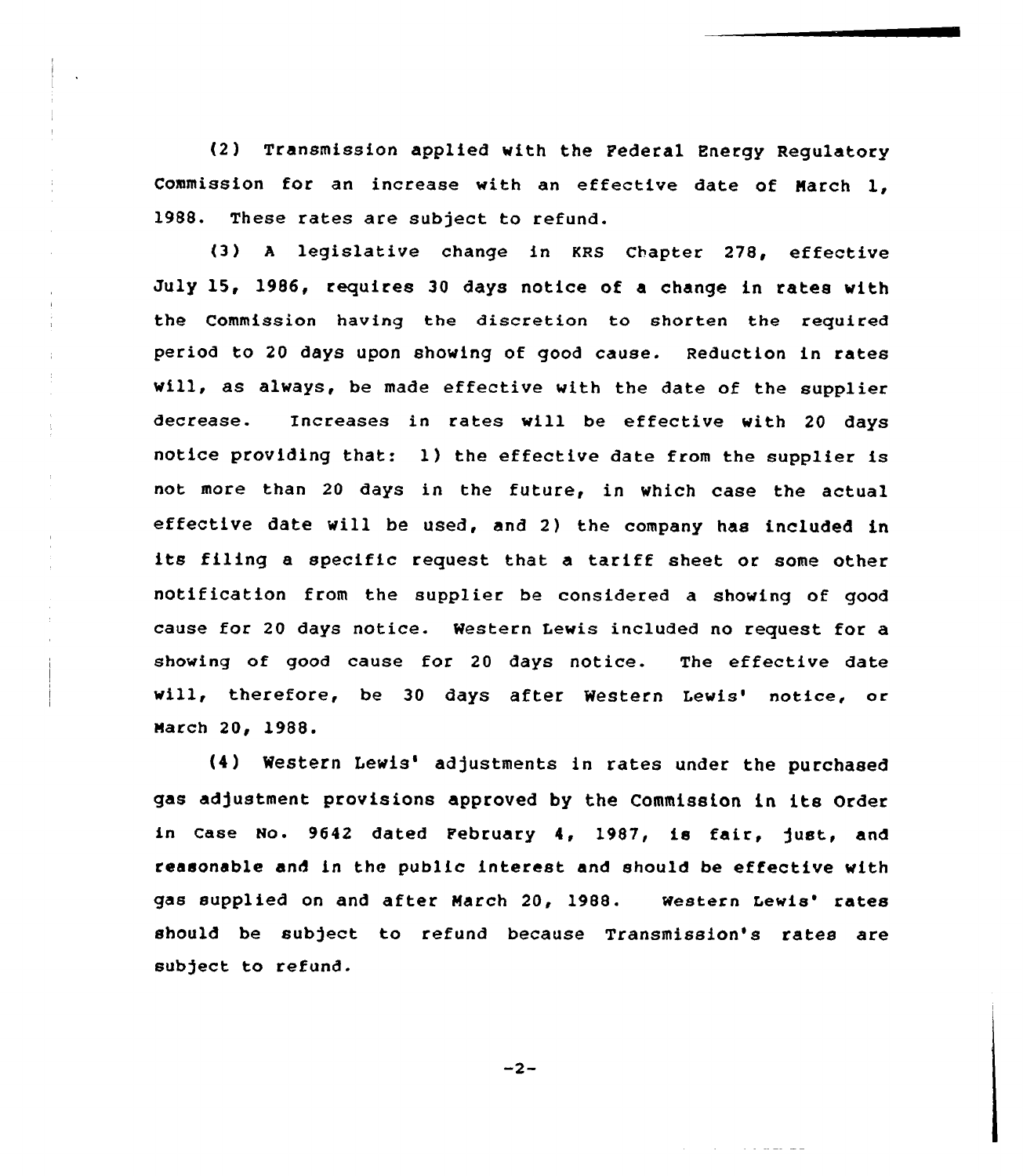(2) Transmission applied with the Federal Energy Regulatory Commission for an increase with an effective date of March 1, l988. These rates are subject to refund.

 $\frac{1}{2}$ 

 $\bar{z}$ 

 $\mathbf{r}$ 

 $\cdot$ 

 $\bar{1}$ 

(3) <sup>A</sup> legislative change in KRs Chapter 278, effective July 15, 1986, requires 30 days notice of a change in rates with the Commission having the discretion to shorten the required period to 20 days upon showing of good cause. Reduction in rates will, as always, be made effective with the date of the supplier decrease. Increases in rates will be effective with 20 days notice providing that: 1) the effective date from the supplier is not more than 20 days in the future, in which case the actual effective date will be used, and 2} the company has included in ite filing a specific request that a tariff sheet or some other notification from the supplier be considered a showing of good cause for 20 days notice. Western Lewis included no request for a showing of good cause for 20 days notice. The effective date will, therefore, be 30 days after Western Lewis' notice, or March 20, 1988.

(4) Western Lewis' adjustments in rates under the purchased gas adjustment provisions approved by the Commission in its Order in case No. 9642 dated February 4, 1987, ie fair, just, and reasonable and in the public interest and should be effective with gas supplied on and after March 20, 1988. Western Lewis' rates should be subject to refund because Transmission's rates are subject to refund.

 $-2-$ 

سيد على من الأمر الأمر الأمر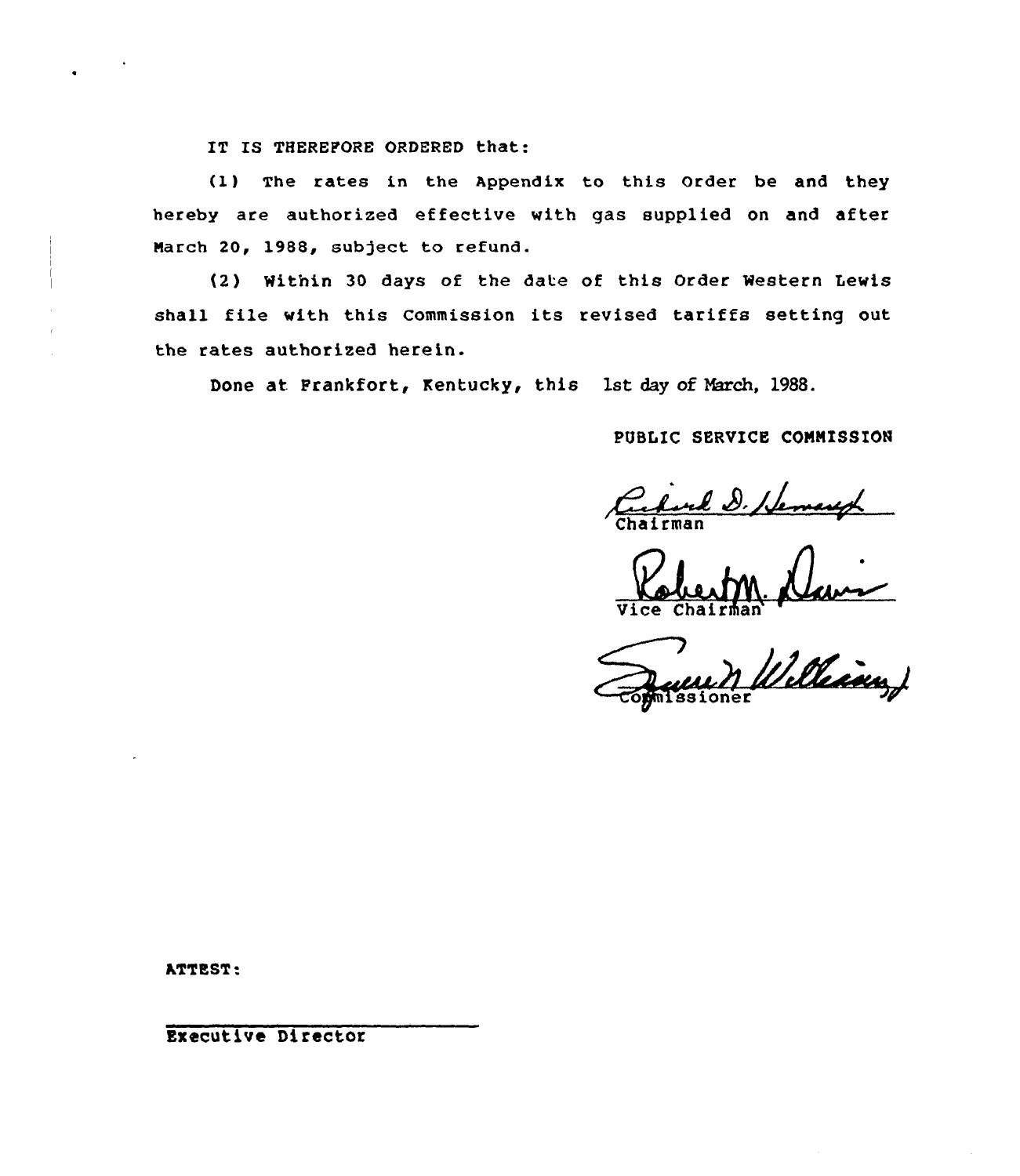IT IS THEREFORE ORDERED that:

(1) The rates in the Appendix to this Order be and they hereby are authorized effective with gas supplied on and after March 20, 1988, subject to refund.

(2) Within 30 days of the date of this Order Western Lewis shall file with this Commission its revised tariffs setting out the rates authorized herein.

Done at Frankfort, Kentucky, this 1st day of March, 1988.

PUBLIC SERVICE COMMISSION

Ruel D. Hemaux

Vice

" Williams

ATTEST:

Executive Director